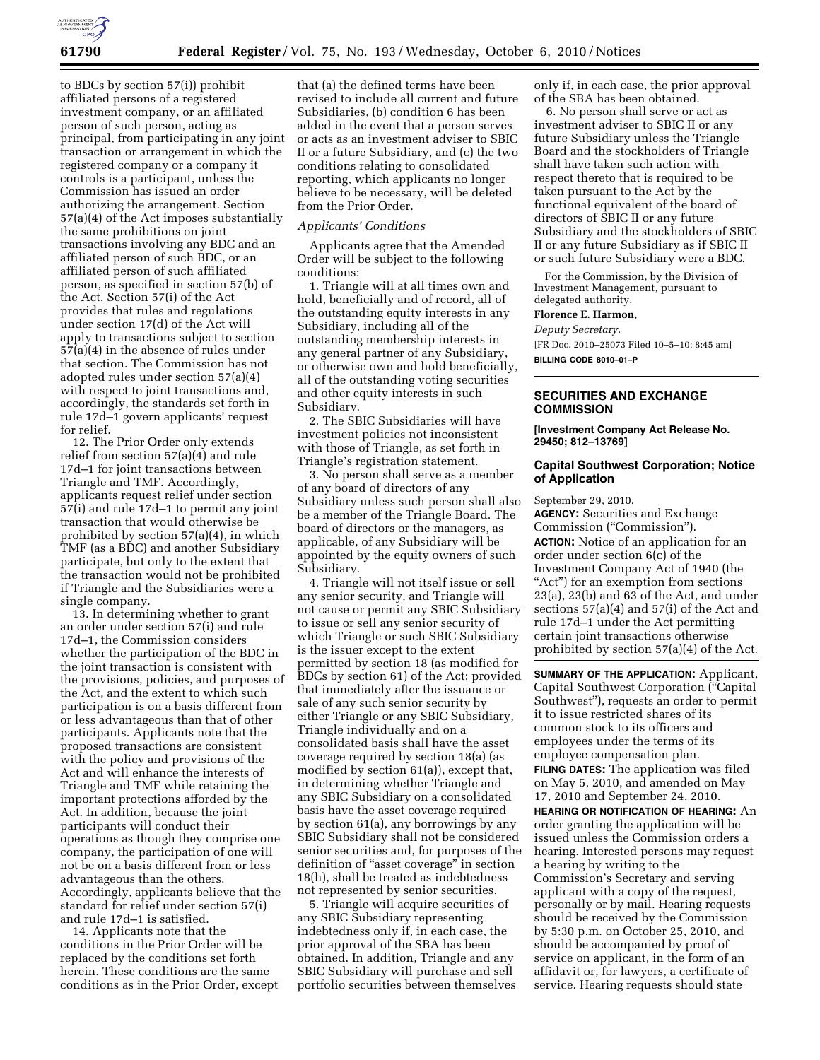

to BDCs by section 57(i)) prohibit affiliated persons of a registered investment company, or an affiliated person of such person, acting as principal, from participating in any joint transaction or arrangement in which the registered company or a company it controls is a participant, unless the Commission has issued an order authorizing the arrangement. Section 57(a)(4) of the Act imposes substantially the same prohibitions on joint transactions involving any BDC and an affiliated person of such BDC, or an affiliated person of such affiliated person, as specified in section 57(b) of the Act. Section 57(i) of the Act provides that rules and regulations under section 17(d) of the Act will apply to transactions subject to section 57(a)(4) in the absence of rules under that section. The Commission has not adopted rules under section 57(a)(4) with respect to joint transactions and, accordingly, the standards set forth in rule 17d–1 govern applicants' request for relief.

12. The Prior Order only extends relief from section 57(a)(4) and rule 17d–1 for joint transactions between Triangle and TMF. Accordingly, applicants request relief under section 57(i) and rule 17d–1 to permit any joint transaction that would otherwise be prohibited by section 57(a)(4), in which TMF (as a BDC) and another Subsidiary participate, but only to the extent that the transaction would not be prohibited if Triangle and the Subsidiaries were a single company.

13. In determining whether to grant an order under section 57(i) and rule 17d–1, the Commission considers whether the participation of the BDC in the joint transaction is consistent with the provisions, policies, and purposes of the Act, and the extent to which such participation is on a basis different from or less advantageous than that of other participants. Applicants note that the proposed transactions are consistent with the policy and provisions of the Act and will enhance the interests of Triangle and TMF while retaining the important protections afforded by the Act. In addition, because the joint participants will conduct their operations as though they comprise one company, the participation of one will not be on a basis different from or less advantageous than the others. Accordingly, applicants believe that the standard for relief under section 57(i) and rule 17d–1 is satisfied.

14. Applicants note that the conditions in the Prior Order will be replaced by the conditions set forth herein. These conditions are the same conditions as in the Prior Order, except

that (a) the defined terms have been revised to include all current and future Subsidiaries, (b) condition 6 has been added in the event that a person serves or acts as an investment adviser to SBIC II or a future Subsidiary, and (c) the two conditions relating to consolidated reporting, which applicants no longer believe to be necessary, will be deleted from the Prior Order.

### *Applicants' Conditions*

Applicants agree that the Amended Order will be subject to the following conditions:

1. Triangle will at all times own and hold, beneficially and of record, all of the outstanding equity interests in any Subsidiary, including all of the outstanding membership interests in any general partner of any Subsidiary, or otherwise own and hold beneficially, all of the outstanding voting securities and other equity interests in such Subsidiary.

2. The SBIC Subsidiaries will have investment policies not inconsistent with those of Triangle, as set forth in Triangle's registration statement.

3. No person shall serve as a member of any board of directors of any Subsidiary unless such person shall also be a member of the Triangle Board. The board of directors or the managers, as applicable, of any Subsidiary will be appointed by the equity owners of such Subsidiary.

4. Triangle will not itself issue or sell any senior security, and Triangle will not cause or permit any SBIC Subsidiary to issue or sell any senior security of which Triangle or such SBIC Subsidiary is the issuer except to the extent permitted by section 18 (as modified for BDCs by section 61) of the Act; provided that immediately after the issuance or sale of any such senior security by either Triangle or any SBIC Subsidiary, Triangle individually and on a consolidated basis shall have the asset coverage required by section 18(a) (as modified by section 61(a)), except that, in determining whether Triangle and any SBIC Subsidiary on a consolidated basis have the asset coverage required by section 61(a), any borrowings by any SBIC Subsidiary shall not be considered senior securities and, for purposes of the definition of ''asset coverage'' in section 18(h), shall be treated as indebtedness not represented by senior securities.

5. Triangle will acquire securities of any SBIC Subsidiary representing indebtedness only if, in each case, the prior approval of the SBA has been obtained. In addition, Triangle and any SBIC Subsidiary will purchase and sell portfolio securities between themselves only if, in each case, the prior approval of the SBA has been obtained.

6. No person shall serve or act as investment adviser to SBIC II or any future Subsidiary unless the Triangle Board and the stockholders of Triangle shall have taken such action with respect thereto that is required to be taken pursuant to the Act by the functional equivalent of the board of directors of SBIC II or any future Subsidiary and the stockholders of SBIC II or any future Subsidiary as if SBIC II or such future Subsidiary were a BDC.

For the Commission, by the Division of Investment Management, pursuant to delegated authority.

## **Florence E. Harmon,**

*Deputy Secretary.* 

[FR Doc. 2010–25073 Filed 10–5–10; 8:45 am] **BILLING CODE 8010–01–P** 

### **SECURITIES AND EXCHANGE COMMISSION**

**[Investment Company Act Release No. 29450; 812–13769]** 

### **Capital Southwest Corporation; Notice of Application**

September 29, 2010.

**AGENCY:** Securities and Exchange Commission (''Commission''). **ACTION:** Notice of an application for an order under section 6(c) of the Investment Company Act of 1940 (the "Act") for an exemption from sections 23(a), 23(b) and 63 of the Act, and under sections 57(a)(4) and 57(i) of the Act and rule 17d–1 under the Act permitting certain joint transactions otherwise prohibited by section 57(a)(4) of the Act.

**SUMMARY OF THE APPLICATION:** Applicant, Capital Southwest Corporation (''Capital Southwest''), requests an order to permit it to issue restricted shares of its common stock to its officers and employees under the terms of its employee compensation plan.

**FILING DATES:** The application was filed on May 5, 2010, and amended on May 17, 2010 and September 24, 2010.

**HEARING OR NOTIFICATION OF HEARING:** An order granting the application will be issued unless the Commission orders a hearing. Interested persons may request a hearing by writing to the Commission's Secretary and serving applicant with a copy of the request, personally or by mail. Hearing requests should be received by the Commission by 5:30 p.m. on October 25, 2010, and should be accompanied by proof of service on applicant, in the form of an affidavit or, for lawyers, a certificate of service. Hearing requests should state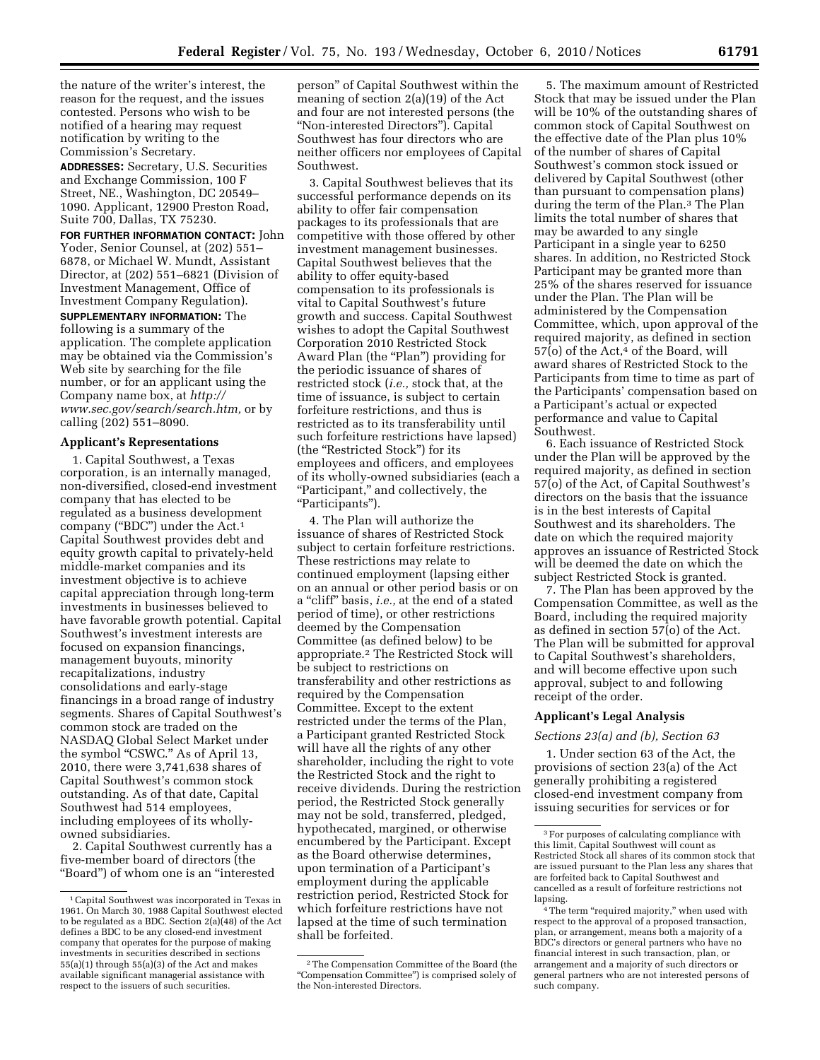the nature of the writer's interest, the reason for the request, and the issues contested. Persons who wish to be notified of a hearing may request notification by writing to the Commission's Secretary.

**ADDRESSES:** Secretary, U.S. Securities and Exchange Commission, 100 F Street, NE., Washington, DC 20549– 1090. Applicant, 12900 Preston Road, Suite 700, Dallas, TX 75230.

**FOR FURTHER INFORMATION CONTACT:** John Yoder, Senior Counsel, at (202) 551– 6878, or Michael W. Mundt, Assistant Director, at (202) 551–6821 (Division of Investment Management, Office of Investment Company Regulation).

**SUPPLEMENTARY INFORMATION:** The following is a summary of the application. The complete application may be obtained via the Commission's Web site by searching for the file number, or for an applicant using the Company name box, at *[http://](http://www.sec.gov/search/search.htm) [www.sec.gov/search/search.htm,](http://www.sec.gov/search/search.htm)* or by calling (202) 551–8090.

# **Applicant's Representations**

1. Capital Southwest, a Texas corporation, is an internally managed, non-diversified, closed-end investment company that has elected to be regulated as a business development company (''BDC'') under the Act.1 Capital Southwest provides debt and equity growth capital to privately-held middle-market companies and its investment objective is to achieve capital appreciation through long-term investments in businesses believed to have favorable growth potential. Capital Southwest's investment interests are focused on expansion financings, management buyouts, minority recapitalizations, industry consolidations and early-stage financings in a broad range of industry segments. Shares of Capital Southwest's common stock are traded on the NASDAQ Global Select Market under the symbol "CSWC." As of April 13, 2010, there were 3,741,638 shares of Capital Southwest's common stock outstanding. As of that date, Capital Southwest had 514 employees, including employees of its whollyowned subsidiaries.

2. Capital Southwest currently has a five-member board of directors (the ''Board'') of whom one is an ''interested person'' of Capital Southwest within the meaning of section 2(a)(19) of the Act and four are not interested persons (the ''Non-interested Directors''). Capital Southwest has four directors who are neither officers nor employees of Capital Southwest.

3. Capital Southwest believes that its successful performance depends on its ability to offer fair compensation packages to its professionals that are competitive with those offered by other investment management businesses. Capital Southwest believes that the ability to offer equity-based compensation to its professionals is vital to Capital Southwest's future growth and success. Capital Southwest wishes to adopt the Capital Southwest Corporation 2010 Restricted Stock Award Plan (the "Plan") providing for the periodic issuance of shares of restricted stock (*i.e.,* stock that, at the time of issuance, is subject to certain forfeiture restrictions, and thus is restricted as to its transferability until such forfeiture restrictions have lapsed) (the ''Restricted Stock'') for its employees and officers, and employees of its wholly-owned subsidiaries (each a ''Participant,'' and collectively, the ''Participants'').

4. The Plan will authorize the issuance of shares of Restricted Stock subject to certain forfeiture restrictions. These restrictions may relate to continued employment (lapsing either on an annual or other period basis or on a ''cliff'' basis, *i.e.,* at the end of a stated period of time), or other restrictions deemed by the Compensation Committee (as defined below) to be appropriate.2 The Restricted Stock will be subject to restrictions on transferability and other restrictions as required by the Compensation Committee. Except to the extent restricted under the terms of the Plan, a Participant granted Restricted Stock will have all the rights of any other shareholder, including the right to vote the Restricted Stock and the right to receive dividends. During the restriction period, the Restricted Stock generally may not be sold, transferred, pledged, hypothecated, margined, or otherwise encumbered by the Participant. Except as the Board otherwise determines, upon termination of a Participant's employment during the applicable restriction period, Restricted Stock for which forfeiture restrictions have not lapsed at the time of such termination shall be forfeited.

5. The maximum amount of Restricted Stock that may be issued under the Plan will be 10% of the outstanding shares of common stock of Capital Southwest on the effective date of the Plan plus 10% of the number of shares of Capital Southwest's common stock issued or delivered by Capital Southwest (other than pursuant to compensation plans) during the term of the Plan.3 The Plan limits the total number of shares that may be awarded to any single Participant in a single year to 6250 shares. In addition, no Restricted Stock Participant may be granted more than 25% of the shares reserved for issuance under the Plan. The Plan will be administered by the Compensation Committee, which, upon approval of the required majority, as defined in section  $57($ o) of the Act,<sup>4</sup> of the Board, will award shares of Restricted Stock to the Participants from time to time as part of the Participants' compensation based on a Participant's actual or expected performance and value to Capital Southwest.

6. Each issuance of Restricted Stock under the Plan will be approved by the required majority, as defined in section 57(o) of the Act, of Capital Southwest's directors on the basis that the issuance is in the best interests of Capital Southwest and its shareholders. The date on which the required majority approves an issuance of Restricted Stock will be deemed the date on which the subject Restricted Stock is granted.

7. The Plan has been approved by the Compensation Committee, as well as the Board, including the required majority as defined in section 57(o) of the Act. The Plan will be submitted for approval to Capital Southwest's shareholders, and will become effective upon such approval, subject to and following receipt of the order.

# **Applicant's Legal Analysis**

#### *Sections 23(a) and (b), Section 63*

1. Under section 63 of the Act, the provisions of section 23(a) of the Act generally prohibiting a registered closed-end investment company from issuing securities for services or for

<sup>1</sup>Capital Southwest was incorporated in Texas in 1961. On March 30, 1988 Capital Southwest elected to be regulated as a BDC. Section 2(a)(48) of the Act defines a BDC to be any closed-end investment company that operates for the purpose of making investments in securities described in sections 55(a)(1) through 55(a)(3) of the Act and makes available significant managerial assistance with respect to the issuers of such securities.

<sup>2</sup>The Compensation Committee of the Board (the ''Compensation Committee'') is comprised solely of the Non-interested Directors.

<sup>3</sup>For purposes of calculating compliance with this limit, Capital Southwest will count as Restricted Stock all shares of its common stock that are issued pursuant to the Plan less any shares that are forfeited back to Capital Southwest and cancelled as a result of forfeiture restrictions not lapsing.

<sup>&</sup>lt;sup>4</sup>The term "required majority," when used with respect to the approval of a proposed transaction, plan, or arrangement, means both a majority of a BDC's directors or general partners who have no financial interest in such transaction, plan, or arrangement and a majority of such directors or general partners who are not interested persons of such company.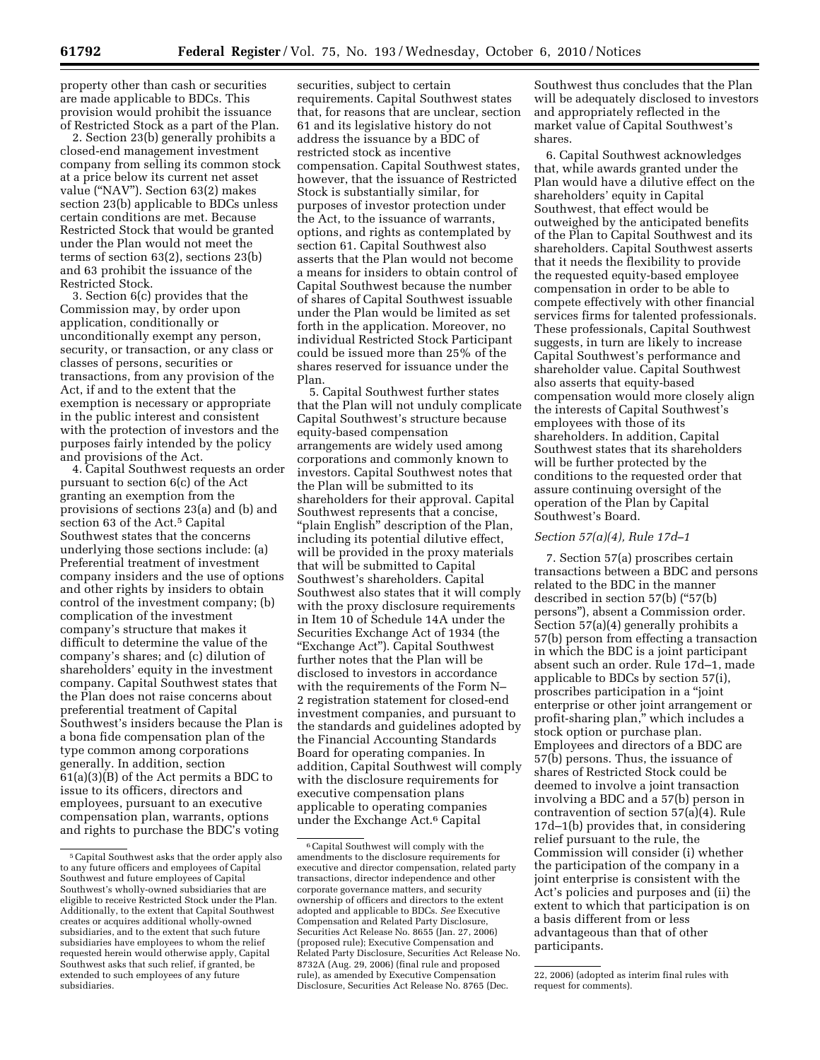property other than cash or securities are made applicable to BDCs. This provision would prohibit the issuance of Restricted Stock as a part of the Plan.

2. Section 23(b) generally prohibits a closed-end management investment company from selling its common stock at a price below its current net asset value (''NAV''). Section 63(2) makes section 23(b) applicable to BDCs unless certain conditions are met. Because Restricted Stock that would be granted under the Plan would not meet the terms of section 63(2), sections 23(b) and 63 prohibit the issuance of the Restricted Stock.

3. Section 6(c) provides that the Commission may, by order upon application, conditionally or unconditionally exempt any person, security, or transaction, or any class or classes of persons, securities or transactions, from any provision of the Act, if and to the extent that the exemption is necessary or appropriate in the public interest and consistent with the protection of investors and the purposes fairly intended by the policy and provisions of the Act.

4. Capital Southwest requests an order pursuant to section 6(c) of the Act granting an exemption from the provisions of sections 23(a) and (b) and section 63 of the Act.<sup>5</sup> Capital Southwest states that the concerns underlying those sections include: (a) Preferential treatment of investment company insiders and the use of options and other rights by insiders to obtain control of the investment company; (b) complication of the investment company's structure that makes it difficult to determine the value of the company's shares; and (c) dilution of shareholders' equity in the investment company. Capital Southwest states that the Plan does not raise concerns about preferential treatment of Capital Southwest's insiders because the Plan is a bona fide compensation plan of the type common among corporations generally. In addition, section 61(a)(3)(B) of the Act permits a BDC to issue to its officers, directors and employees, pursuant to an executive compensation plan, warrants, options and rights to purchase the BDC's voting

securities, subject to certain requirements. Capital Southwest states that, for reasons that are unclear, section 61 and its legislative history do not address the issuance by a BDC of restricted stock as incentive compensation. Capital Southwest states, however, that the issuance of Restricted Stock is substantially similar, for purposes of investor protection under the Act, to the issuance of warrants, options, and rights as contemplated by section 61. Capital Southwest also asserts that the Plan would not become a means for insiders to obtain control of Capital Southwest because the number of shares of Capital Southwest issuable under the Plan would be limited as set forth in the application. Moreover, no individual Restricted Stock Participant could be issued more than 25% of the shares reserved for issuance under the Plan.

5. Capital Southwest further states that the Plan will not unduly complicate Capital Southwest's structure because equity-based compensation arrangements are widely used among corporations and commonly known to investors. Capital Southwest notes that the Plan will be submitted to its shareholders for their approval. Capital Southwest represents that a concise, "plain English" description of the Plan, including its potential dilutive effect, will be provided in the proxy materials that will be submitted to Capital Southwest's shareholders. Capital Southwest also states that it will comply with the proxy disclosure requirements in Item 10 of Schedule 14A under the Securities Exchange Act of 1934 (the "Exchange Act"). Capital Southwest further notes that the Plan will be disclosed to investors in accordance with the requirements of the Form N– 2 registration statement for closed-end investment companies, and pursuant to the standards and guidelines adopted by the Financial Accounting Standards Board for operating companies. In addition, Capital Southwest will comply with the disclosure requirements for executive compensation plans applicable to operating companies under the Exchange Act.6 Capital

Southwest thus concludes that the Plan will be adequately disclosed to investors and appropriately reflected in the market value of Capital Southwest's shares.

6. Capital Southwest acknowledges that, while awards granted under the Plan would have a dilutive effect on the shareholders' equity in Capital Southwest, that effect would be outweighed by the anticipated benefits of the Plan to Capital Southwest and its shareholders. Capital Southwest asserts that it needs the flexibility to provide the requested equity-based employee compensation in order to be able to compete effectively with other financial services firms for talented professionals. These professionals, Capital Southwest suggests, in turn are likely to increase Capital Southwest's performance and shareholder value. Capital Southwest also asserts that equity-based compensation would more closely align the interests of Capital Southwest's employees with those of its shareholders. In addition, Capital Southwest states that its shareholders will be further protected by the conditions to the requested order that assure continuing oversight of the operation of the Plan by Capital Southwest's Board.

### *Section 57(a)(4), Rule 17d–1*

7. Section 57(a) proscribes certain transactions between a BDC and persons related to the BDC in the manner described in section 57(b) (''57(b) persons''), absent a Commission order. Section 57(a)(4) generally prohibits a 57(b) person from effecting a transaction in which the BDC is a joint participant absent such an order. Rule 17d–1, made applicable to BDCs by section 57(i), proscribes participation in a ''joint enterprise or other joint arrangement or profit-sharing plan,'' which includes a stock option or purchase plan. Employees and directors of a BDC are 57(b) persons. Thus, the issuance of shares of Restricted Stock could be deemed to involve a joint transaction involving a BDC and a 57(b) person in contravention of section 57(a)(4). Rule 17d–1(b) provides that, in considering relief pursuant to the rule, the Commission will consider (i) whether the participation of the company in a joint enterprise is consistent with the Act's policies and purposes and (ii) the extent to which that participation is on a basis different from or less advantageous than that of other participants.

<sup>5</sup>Capital Southwest asks that the order apply also to any future officers and employees of Capital Southwest and future employees of Capital Southwest's wholly-owned subsidiaries that are eligible to receive Restricted Stock under the Plan. Additionally, to the extent that Capital Southwest creates or acquires additional wholly-owned subsidiaries, and to the extent that such future subsidiaries have employees to whom the relief requested herein would otherwise apply, Capital Southwest asks that such relief, if granted, be extended to such employees of any future subsidiaries.

<sup>6</sup>Capital Southwest will comply with the amendments to the disclosure requirements for executive and director compensation, related party transactions, director independence and other corporate governance matters, and security ownership of officers and directors to the extent adopted and applicable to BDCs. *See* Executive Compensation and Related Party Disclosure, Securities Act Release No. 8655 (Jan. 27, 2006) (proposed rule); Executive Compensation and Related Party Disclosure, Securities Act Release No. 8732A (Aug. 29, 2006) (final rule and proposed rule), as amended by Executive Compensation Disclosure, Securities Act Release No. 8765 (Dec.

<sup>22, 2006) (</sup>adopted as interim final rules with request for comments).